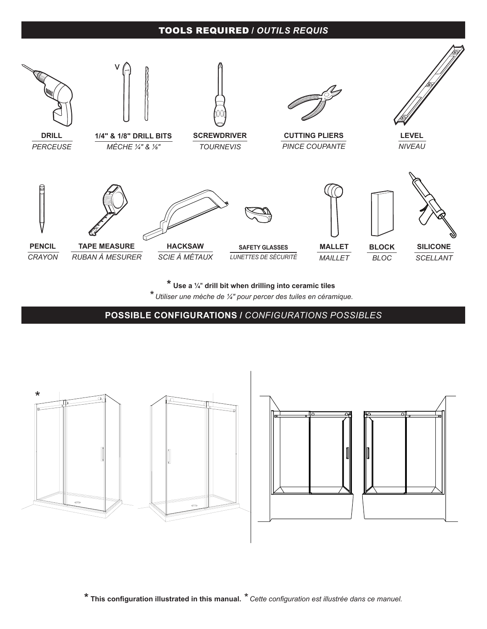#### TOOLS REQUIRED **/** *OUTILS REQUIS*



**\* Use a ¼**" **drill bit when drilling into ceramic tiles**

*\* Utiliser une mèche de ¼" pour percer des tuiles en céramique.*

**POSSIBLE CONFIGURATIONS /** *CONFIGURATIONS POSSIBLES*





**\* This configuration illustrated in this manual.** *\* Cette configuration est illustrée dans ce manuel.*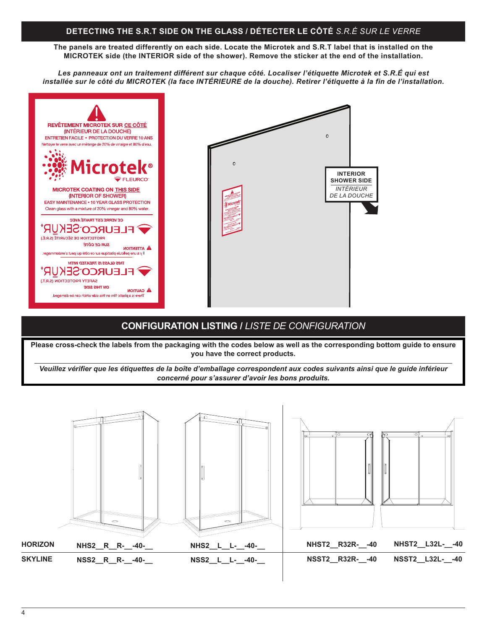#### **DETECTING THE S.R.T SIDE ON THE GLASS / DÉTECTER LE CÔTÉ** *S.R.É SUR LE VERRE*

**The panels are treated differently on each side. Locate the Microtek and S.R.T label that is installed on the MICROTEK side (the INTERIOR side of the shower). Remove the sticker at the end of the installation.**

*Les panneaux ont un traitement différent sur chaque côté. Localiser l'étiquette Microtek et S.R.É qui est installée sur le côté du MICROTEK (la face INTÉRIEURE de la douche). Retirer l'étiquette à la fin de l'installation.*



#### **CONFIGURATION LISTING /** *LISTE DE CONFIGURATION*

**Please cross-check the labels from the packaging with the codes below as well as the corresponding bottom guide to ensure you have the correct products.**

*Veuillez vérifier que les étiquettes de la boîte d'emballage correspondent aux codes suivants ainsi que le guide inférieur concerné pour s'assurer d'avoir les bons produits.*

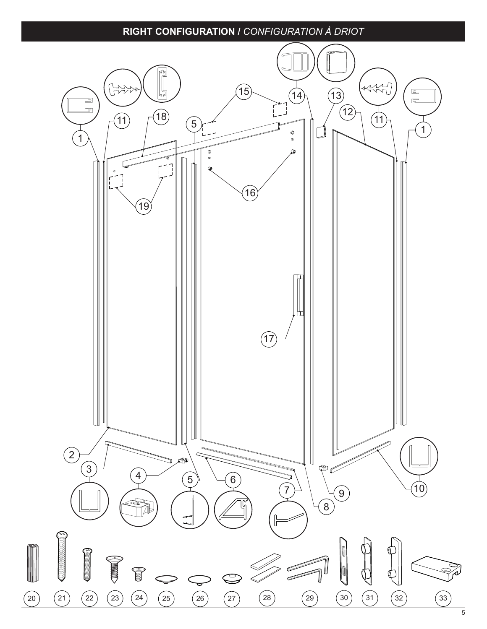### **RIGHT CONFIGURATION /** *CONFIGURATION À DRIOT*

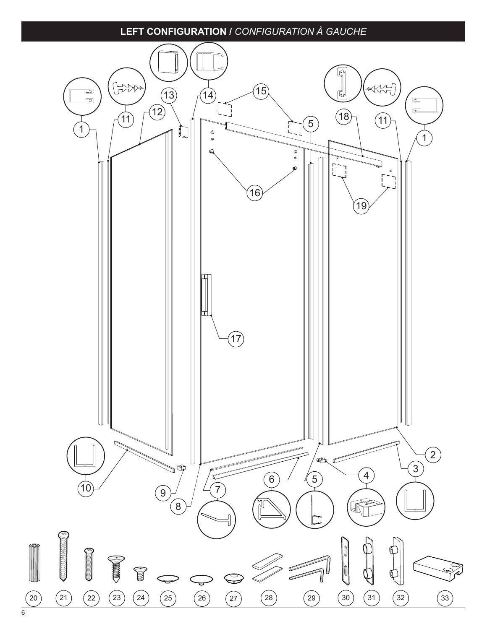### **LEFT CONFIGURATION /** *CONFIGURATION À GAUCHE*

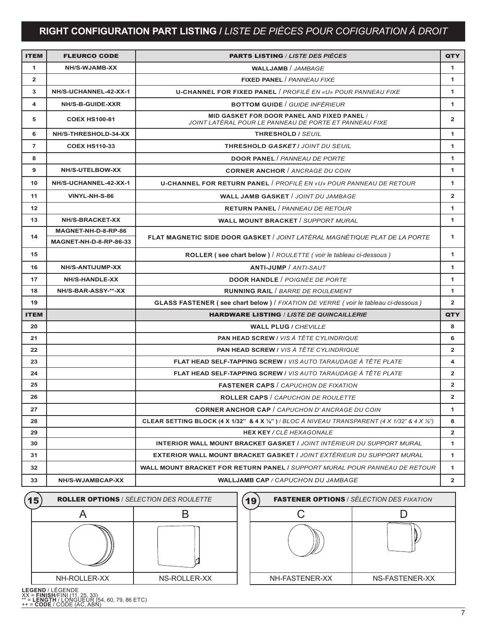# **RIGHT CONFIGURATION PART LISTING /** *LISTE DE PIÈCES POUR COFIGURATION À DROIT*

| <b>ITEM</b>    | <b>FLEURCO CODE</b>                                  | <b>PARTS LISTING / LISTE DES PIÈCES</b>                                                               | <b>QTY</b>     |
|----------------|------------------------------------------------------|-------------------------------------------------------------------------------------------------------|----------------|
| 1              | NH/S-WJAMB-XX                                        | <b>WALLJAMB</b> / JAMBAGE                                                                             | 1              |
| $\overline{2}$ |                                                      | <b>FIXED PANEL / PANNEAU FIXE</b>                                                                     | 1              |
| 3              | NH/S-UCHANNEL-42-XX-1                                | <b>U-CHANNEL FOR FIXED PANEL / PROFILÉ EN «U» POUR PANNEAU FIXE</b>                                   | 1              |
| 4              | NH/S-B-GUIDE-XXR                                     | <b>BOTTOM GUIDE / GUIDE INFÉRIEUR</b>                                                                 | 1              |
| 5              | <b>COEX HS100-81</b>                                 | MID GASKET FOR DOOR PANEL AND FIXED PANEL /<br>JOINT LATÉRAL POUR LE PANNEAU DE PORTE ET PANNEAU FIXE | $\mathbf{2}$   |
| 6              | NH/S-THRESHOLD-34-XX                                 | THRESHOLD / SEUIL                                                                                     | 1              |
| $\overline{7}$ | <b>COEX HS110-33</b>                                 | <b>THRESHOLD GASKET / JOINT DU SEUIL</b>                                                              | 1              |
| 8              |                                                      | <b>DOOR PANEL / PANNEAU DE PORTE</b>                                                                  | 1              |
| 9              | NH/S-UTELBOW-XX                                      | <b>CORNER ANCHOR / ANCRAGE DU COIN</b>                                                                | 1              |
| 10             | NH/S-UCHANNEL-42-XX-1                                | <b>U-CHANNEL FOR RETURN PANEL / PROFILÉ EN «U» POUR PANNEAU DE RETOUR</b>                             | 1              |
| 11             | VINYL-NH-S-86                                        | <b>WALL JAMB GASKET / JOINT DU JAMBAGE</b>                                                            | $\overline{2}$ |
| 12             |                                                      | <b>RETURN PANEL / PANNEAU DE RETOUR</b>                                                               | 1              |
| 13             | <b>NH/S-BRACKET-XX</b>                               | <b>WALL MOUNT BRACKET / SUPPORT MURAL</b>                                                             | 1              |
| 14             | MAGNET-NH-D-8-RP-86<br><b>MAGNET-NH-D-8-RP-86-33</b> | FLAT MAGNETIC SIDE DOOR GASKET / JOINT LATÉRAL MAGNÉTIQUE PLAT DE LA PORTE                            | 1              |
| 15             |                                                      | ROLLER (see chart below) / ROULETTE (voir le tableau ci-dessous)                                      | 1              |
| 16             | NH/S-ANTIJUMP-XX                                     | <b>ANTI-JUMP</b> / ANTI-SAUT                                                                          | 1              |
| 17             | NH/S-HANDLE-XX                                       | <b>DOOR HANDLE / POIGNÉE DE PORTE</b>                                                                 | 1              |
| 18             | NH/S-BAR-ASSY-**-XX                                  | <b>RUNNING RAIL / BARRE DE ROULEMENT</b>                                                              | 1              |
| 19             |                                                      | <b>GLASS FASTENER (see chart below)</b> / FIXATION DE VERRE (voir le tableau ci-dessous)              | $\overline{2}$ |
| <b>ITEM</b>    |                                                      | <b>HARDWARE LISTING / LISTE DE QUINCAILLERIE</b>                                                      | <b>QTY</b>     |
| 20             |                                                      | <b>WALL PLUG / CHEVILLE</b>                                                                           | 8              |
| 21             |                                                      | <b>PAN HEAD SCREW / VIS À TÊTE CYLINDRIQUE</b>                                                        | 6              |
| 22             |                                                      | <b>PAN HEAD SCREW / VIS À TÊTE CYLINDRIQUE</b>                                                        | $\overline{2}$ |
| 23             |                                                      | <b>FLAT HEAD SELF-TAPPING SCREW / VIS AUTO TARAUDAGE À TÊTE PLATE</b>                                 | 4              |
| 24             |                                                      | FLAT HEAD SELF-TAPPING SCREW / VIS AUTO TARAUDAGE À TÊTE PLATE                                        | $\overline{2}$ |
| 25             |                                                      | <b>FASTENER CAPS / CAPUCHON DE FIXATION</b>                                                           | $\mathbf{2}$   |
| 26             |                                                      | <b>ROLLER CAPS / CAPUCHON DE ROULETTE</b>                                                             | $\overline{2}$ |
| 27             |                                                      | <b>CORNER ANCHOR CAP / CAPUCHON D'ANCRAGE DU COIN</b>                                                 | 1              |
| 28             |                                                      | CLEAR SETTING BLOCK (4 X 1/32" & 4 X 1/3") / BLOC À NIVEAU TRANSPARENT (4 X 1/32" & 4 X 1/4")         | 8              |
| 29             |                                                      | <b>HEX KEY / CLÉ HEXAGONALE</b>                                                                       | $\overline{2}$ |
| 30             |                                                      | <b>INTERIOR WALL MOUNT BRACKET GASKET / JOINT INTÉRIEUR DU SUPPORT MURAL</b>                          | 1              |
| 31             |                                                      | <b>EXTERIOR WALL MOUNT BRACKET GASKET / JOINT EXTÉRIEUR DU SUPPORT MURAL</b>                          | 1              |
| 32             |                                                      | <b>WALL MOUNT BRACKET FOR RETURN PANEL / SUPPORT MURAL POUR PANNEAU DE RETOUR</b>                     | 1              |
| 33             | NH/S-WJAMBCAP-XX                                     | <b>WALLJAMB CAP / CAPUCHON DU JAMBAGE</b>                                                             | $\overline{2}$ |
|                | <b>ONLER ORTIONS</b> LOCUCTION RES. ROULETTE         | $\overline{C}$                                                                                        |                |





**LEGEND / L**EGENDE<br>XX **= FINISH/F**INI (11, 25, 33)<br>\*\* **= LENGTH** / LONGUEUR (54, 60, 79, 86 ETC)<br>++ **= CODE** / CODE (AC, ABN)